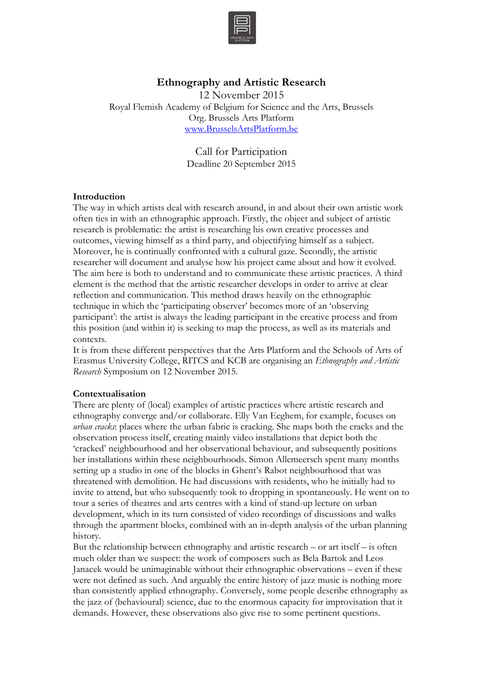

# **Ethnography and Artistic Research**

12 November 2015 Royal Flemish Academy of Belgium for Science and the Arts, Brussels Org. Brussels Arts Platform www.BrusselsArtsPlatform.be

> Call for Participation Deadline 20 September 2015

## **Introduction**

The way in which artists deal with research around, in and about their own artistic work often ties in with an ethnographic approach. Firstly, the object and subject of artistic research is problematic: the artist is researching his own creative processes and outcomes, viewing himself as a third party, and objectifying himself as a subject. Moreover, he is continually confronted with a cultural gaze. Secondly, the artistic researcher will document and analyse how his project came about and how it evolved. The aim here is both to understand and to communicate these artistic practices. A third element is the method that the artistic researcher develops in order to arrive at clear reflection and communication. This method draws heavily on the ethnographic technique in which the 'participating observer' becomes more of an 'observing participant': the artist is always the leading participant in the creative process and from this position (and within it) is seeking to map the process, as well as its materials and contexts.

It is from these different perspectives that the Arts Platform and the Schools of Arts of Erasmus University College, RITCS and KCB are organising an *Ethnography and Artistic Research* Symposium on 12 November 2015.

#### **Contextualisation**

There are plenty of (local) examples of artistic practices where artistic research and ethnography converge and/or collaborate. Elly Van Eeghem, for example, focuses on *urban cracks*: places where the urban fabric is cracking. She maps both the cracks and the observation process itself, creating mainly video installations that depict both the 'cracked' neighbourhood and her observational behaviour, and subsequently positions her installations within these neighbourhoods. Simon Allemeersch spent many months setting up a studio in one of the blocks in Ghent's Rabot neighbourhood that was threatened with demolition. He had discussions with residents, who he initially had to invite to attend, but who subsequently took to dropping in spontaneously. He went on to tour a series of theatres and arts centres with a kind of stand-up lecture on urban development, which in its turn consisted of video recordings of discussions and walks through the apartment blocks, combined with an in-depth analysis of the urban planning history.

But the relationship between ethnography and artistic research – or art itself – is often much older than we suspect: the work of composers such as Bela Bartok and Leos Janacek would be unimaginable without their ethnographic observations – even if these were not defined as such. And arguably the entire history of jazz music is nothing more than consistently applied ethnography. Conversely, some people describe ethnography as the jazz of (behavioural) science, due to the enormous capacity for improvisation that it demands. However, these observations also give rise to some pertinent questions.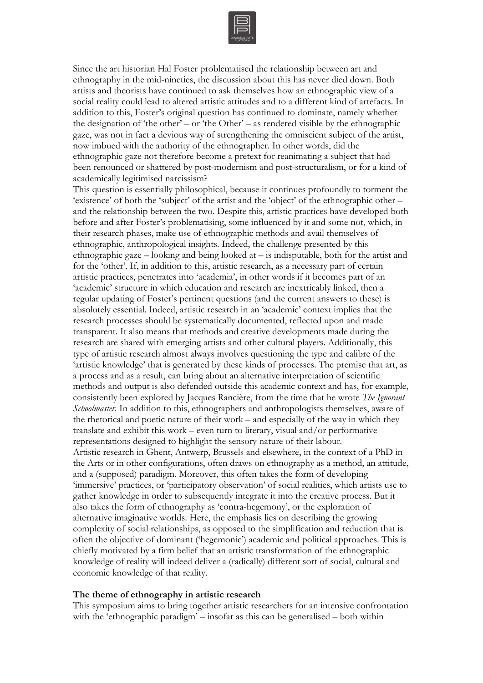

Since the art historian Hal Foster problematised the relationship between art and ethnography in the mid-nineties, the discussion about this has never died down. Both artists and theorists have continued to ask themselves how an ethnographic view of a social reality could lead to altered artistic attitudes and to a different kind of artefacts. In addition to this, Foster's original question has continued to dominate, namely whether the designation of 'the other' – or 'the Other' – as rendered visible by the ethnographic gaze, was not in fact a devious way of strengthening the omniscient subject of the artist, now imbued with the authority of the ethnographer. In other words, did the ethnographic gaze not therefore become a pretext for reanimating a subject that had been renounced or shattered by post-modernism and post-structuralism, or for a kind of academically legitimised narcissism?

This question is essentially philosophical, because it continues profoundly to torment the 'existence' of both the 'subject' of the artist and the 'object' of the ethnographic other – and the relationship between the two. Despite this, artistic practices have developed both before and after Foster's problematising, some influenced by it and some not, which, in their research phases, make use of ethnographic methods and avail themselves of ethnographic, anthropological insights. Indeed, the challenge presented by this ethnographic gaze – looking and being looked at – is indisputable, both for the artist and for the 'other'. If, in addition to this, artistic research, as a necessary part of certain artistic practices, penetrates into 'academia', in other words if it becomes part of an 'academic' structure in which education and research are inextricably linked, then a regular updating of Foster's pertinent questions (and the current answers to these) is absolutely essential. Indeed, artistic research in an 'academic' context implies that the research processes should be systematically documented, reflected upon and made transparent. It also means that methods and creative developments made during the research are shared with emerging artists and other cultural players. Additionally, this type of artistic research almost always involves questioning the type and calibre of the 'artistic knowledge' that is generated by these kinds of processes. The premise that art, as a process and as a result, can bring about an alternative interpretation of scientific methods and output is also defended outside this academic context and has, for example, consistently been explored by Jacques Rancière, from the time that he wrote *The Ignorant Schoolmaster*. In addition to this, ethnographers and anthropologists themselves, aware of the rhetorical and poetic nature of their work – and especially of the way in which they translate and exhibit this work – even turn to literary, visual and/or performative representations designed to highlight the sensory nature of their labour. Artistic research in Ghent, Antwerp, Brussels and elsewhere, in the context of a PhD in the Arts or in other configurations, often draws on ethnography as a method, an attitude, and a (supposed) paradigm. Moreover, this often takes the form of developing 'immersive' practices, or 'participatory observation' of social realities, which artists use to gather knowledge in order to subsequently integrate it into the creative process. But it also takes the form of ethnography as 'contra-hegemony', or the exploration of alternative imaginative worlds. Here, the emphasis lies on describing the growing complexity of social relationships, as opposed to the simplification and reduction that is often the objective of dominant ('hegemonic') academic and political approaches. This is chiefly motivated by a firm belief that an artistic transformation of the ethnographic knowledge of reality will indeed deliver a (radically) different sort of social, cultural and economic knowledge of that reality.

### **The theme of ethnography in artistic research**

This symposium aims to bring together artistic researchers for an intensive confrontation with the 'ethnographic paradigm' – insofar as this can be generalised – both within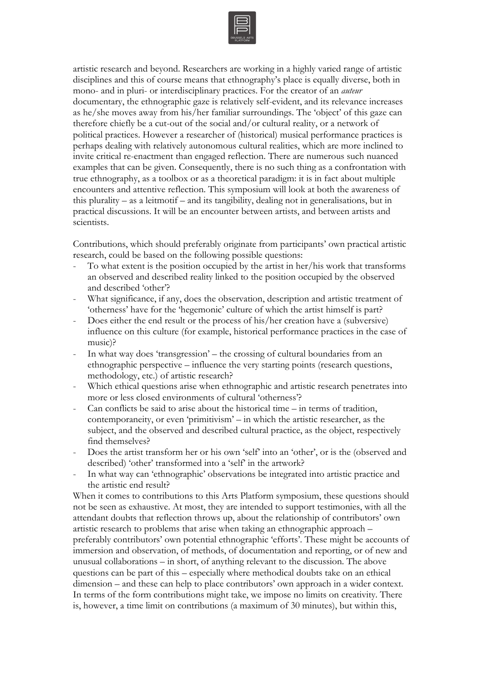

artistic research and beyond. Researchers are working in a highly varied range of artistic disciplines and this of course means that ethnography's place is equally diverse, both in mono- and in pluri- or interdisciplinary practices. For the creator of an *auteur*  documentary, the ethnographic gaze is relatively self-evident, and its relevance increases as he/she moves away from his/her familiar surroundings. The 'object' of this gaze can therefore chiefly be a cut-out of the social and/or cultural reality, or a network of political practices. However a researcher of (historical) musical performance practices is perhaps dealing with relatively autonomous cultural realities, which are more inclined to invite critical re-enactment than engaged reflection. There are numerous such nuanced examples that can be given. Consequently, there is no such thing as a confrontation with true ethnography, as a toolbox or as a theoretical paradigm: it is in fact about multiple encounters and attentive reflection. This symposium will look at both the awareness of this plurality – as a leitmotif – and its tangibility, dealing not in generalisations, but in practical discussions. It will be an encounter between artists, and between artists and scientists.

Contributions, which should preferably originate from participants' own practical artistic research, could be based on the following possible questions:

- To what extent is the position occupied by the artist in her/his work that transforms an observed and described reality linked to the position occupied by the observed and described 'other'?
- What significance, if any, does the observation, description and artistic treatment of 'otherness' have for the 'hegemonic' culture of which the artist himself is part?
- Does either the end result or the process of his/her creation have a (subversive) influence on this culture (for example, historical performance practices in the case of music)?
- In what way does 'transgression' the crossing of cultural boundaries from an ethnographic perspective – influence the very starting points (research questions, methodology, etc.) of artistic research?
- Which ethical questions arise when ethnographic and artistic research penetrates into more or less closed environments of cultural 'otherness'?
- $Can$  conflicts be said to arise about the historical time  $-$  in terms of tradition, contemporaneity, or even 'primitivism' – in which the artistic researcher, as the subject, and the observed and described cultural practice, as the object, respectively find themselves?
- Does the artist transform her or his own 'self' into an 'other', or is the (observed and described) 'other' transformed into a 'self' in the artwork?
- In what way can 'ethnographic' observations be integrated into artistic practice and the artistic end result?

When it comes to contributions to this Arts Platform symposium, these questions should not be seen as exhaustive. At most, they are intended to support testimonies, with all the attendant doubts that reflection throws up, about the relationship of contributors' own artistic research to problems that arise when taking an ethnographic approach – preferably contributors' own potential ethnographic 'efforts'. These might be accounts of immersion and observation, of methods, of documentation and reporting, or of new and unusual collaborations – in short, of anything relevant to the discussion. The above questions can be part of this – especially where methodical doubts take on an ethical dimension – and these can help to place contributors' own approach in a wider context. In terms of the form contributions might take, we impose no limits on creativity. There is, however, a time limit on contributions (a maximum of 30 minutes), but within this,